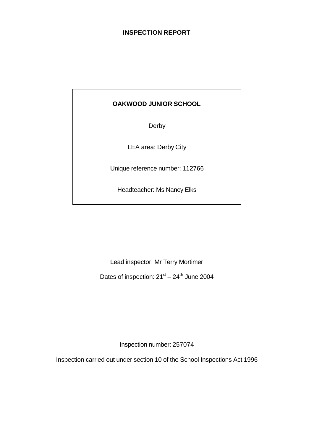# **INSPECTION REPORT**

# **OAKWOOD JUNIOR SCHOOL**

Derby

LEA area: Derby City

Unique reference number: 112766

Headteacher: Ms Nancy Elks

Lead inspector: Mr Terry Mortimer

Dates of inspection:  $21<sup>st</sup> - 24<sup>th</sup>$  June 2004

Inspection number: 257074

Inspection carried out under section 10 of the School Inspections Act 1996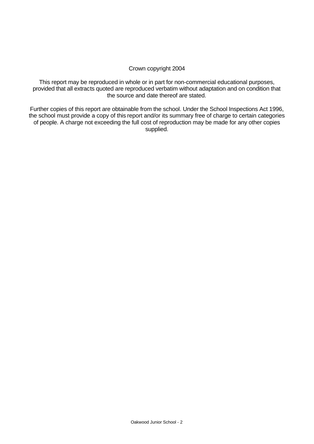#### Crown copyright 2004

This report may be reproduced in whole or in part for non-commercial educational purposes, provided that all extracts quoted are reproduced verbatim without adaptation and on condition that the source and date thereof are stated.

Further copies of this report are obtainable from the school. Under the School Inspections Act 1996, the school must provide a copy of this report and/or its summary free of charge to certain categories of people. A charge not exceeding the full cost of reproduction may be made for any other copies supplied.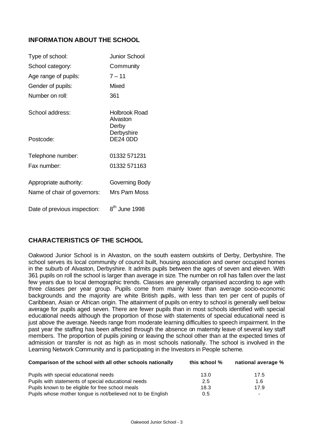# **INFORMATION ABOUT THE SCHOOL**

| Type of school:              | Junior School                      |
|------------------------------|------------------------------------|
| School category:             | Community                          |
| Age range of pupils:         | $7 - 11$                           |
| Gender of pupils:            | Mixed                              |
| Number on roll:              | 361                                |
| School address:              | Holbrook Road<br>Alvaston<br>Derby |
| Postcode:                    | Derbyshire<br><b>DE24 0DD</b>      |
| Telephone number:            | 01332 571231                       |
| Fax number:                  | 01332 571163                       |
| Appropriate authority:       | Governing Body                     |
| Name of chair of governors:  | Mrs Pam Moss                       |
| Date of previous inspection: | 8 <sup>th</sup> June 1998          |

# **CHARACTERISTICS OF THE SCHOOL**

Oakwood Junior School is in Alvaston, on the south eastern outskirts of Derby, Derbyshire. The school serves its local community of council built, housing association and owner occupied homes in the suburb of Alvaston, Derbyshire. It admits pupils between the ages of seven and eleven. With 361 pupils on roll the school is larger than average in size. The number on roll has fallen over the last few years due to local demographic trends. Classes are generally organised according to age with three classes per year group. Pupils come from mainly lower than average socio-economic backgrounds and the majority are white British pupils, with less than ten per cent of pupils of Caribbean, Asian or African origin. The attainment of pupils on entry to school is generally well below average for pupils aged seven. There are fewer pupils than in most schools identified with special educational needs although the proportion of those with statements of special educational need is just above the average. Needs range from moderate learning difficulties to speech impairment. In the past year the staffing has been affected through the absence on maternity leave of several key staff members. The proportion of pupils joining or leaving the school other than at the expected times of admission or transfer is not as high as in most schools nationally. The school is involved in the Learning Network Community and is participating in the Investors in People scheme.

| Comparison of the school with all other schools nationally   | this school $%$ | national average %       |  |
|--------------------------------------------------------------|-----------------|--------------------------|--|
| Pupils with special educational needs                        | 13.0            | 17.5                     |  |
| Pupils with statements of special educational needs          | 2.5             | 1.6                      |  |
| Pupils known to be eligible for free school meals            | 18.3            | 17.9                     |  |
| Pupils whose mother tongue is not/believed not to be English | 0.5             | $\overline{\phantom{a}}$ |  |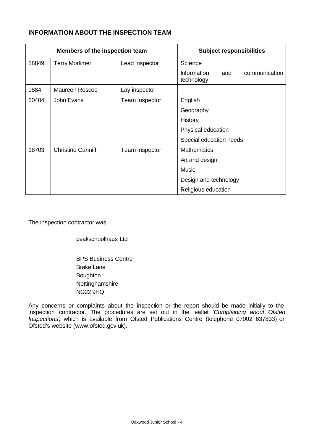# **INFORMATION ABOUT THE INSPECTION TEAM**

| Members of the inspection team |                          | <b>Subject responsibilities</b> |                                                          |
|--------------------------------|--------------------------|---------------------------------|----------------------------------------------------------|
| 18849                          | <b>Terry Mortimer</b>    | Lead inspector                  | Science                                                  |
|                                |                          |                                 | <b>Information</b><br>communication<br>and<br>technology |
| 9884                           | Maureen Roscoe           | Lay inspector                   |                                                          |
| 20404                          | John Evans               | Team inspector                  | English                                                  |
|                                |                          |                                 | Geography                                                |
|                                |                          |                                 | History                                                  |
|                                |                          |                                 | Physical education                                       |
|                                |                          |                                 | Special education needs                                  |
| 18703                          | <b>Christine Canniff</b> | Team inspector                  | <b>Mathematics</b>                                       |
|                                |                          |                                 | Art and design                                           |
|                                |                          |                                 | <b>Music</b>                                             |
|                                |                          |                                 | Design and technology                                    |
|                                |                          |                                 | Religious education                                      |

The inspection contractor was:

peakschoolhaus Ltd

BPS Business Centre Brake Lane **Boughton** Nottinghamshire NG22 9HQ

Any concerns or complaints about the inspection or the report should be made initially to the inspection contractor. The procedures are set out in the leaflet *'Complaining about Ofsted Inspections'*, which is available from Ofsted Publications Centre (telephone 07002 637833) or Ofsted's website (www.ofsted.gov.uk).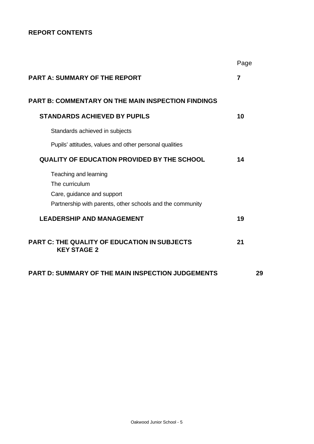# **REPORT CONTENTS**

|                                                                           | Page           |
|---------------------------------------------------------------------------|----------------|
| <b>PART A: SUMMARY OF THE REPORT</b>                                      | $\overline{7}$ |
| <b>PART B: COMMENTARY ON THE MAIN INSPECTION FINDINGS</b>                 |                |
| <b>STANDARDS ACHIEVED BY PUPILS</b>                                       | 10             |
| Standards achieved in subjects                                            |                |
| Pupils' attitudes, values and other personal qualities                    |                |
| QUALITY OF EDUCATION PROVIDED BY THE SCHOOL                               | 14             |
| Teaching and learning                                                     |                |
| The curriculum                                                            |                |
| Care, guidance and support                                                |                |
| Partnership with parents, other schools and the community                 |                |
| <b>LEADERSHIP AND MANAGEMENT</b>                                          | 19             |
| <b>PART C: THE QUALITY OF EDUCATION IN SUBJECTS</b><br><b>KEY STAGE 2</b> | 21             |
| <b>PART D: SUMMARY OF THE MAIN INSPECTION JUDGEMENTS</b>                  | 29             |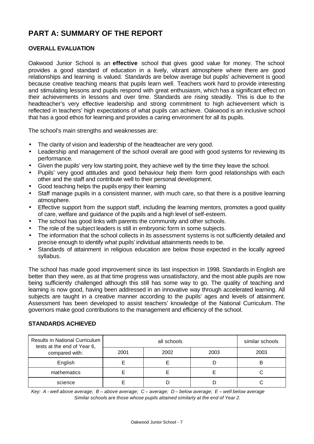# **PART A: SUMMARY OF THE REPORT**

## **OVERALL EVALUATION**

Oakwood Junior School is an **effective** school that gives good value for money. The school provides a good standard of education in a lively, vibrant atmosphere where there are good relationships and learning is valued. Standards are below average but pupils' achievement is good because creative teaching means that pupils learn well. Teachers work hard to provide interesting and stimulating lessons and pupils respond with great enthusiasm, which has a significant effect on their achievements in lessons and over time. Standards are rising steadily. This is due to the headteacher's very effective leadership and strong commitment to high achievement which is reflected in teachers' high expectations of what pupils can achieve. Oakwood is an inclusive school that has a good ethos for learning and provides a caring environment for all its pupils.

The school's main strengths and weaknesses are:

- The clarity of vision and leadership of the headteacher are very good.
- Leadership and management of the school overall are good with good systems for reviewing its performance.
- Given the pupils' very low starting point, they achieve well by the time they leave the school.
- Pupils' very good attitudes and good behaviour help them form good relationships with each other and the staff and contribute well to their personal development.
- Good teaching helps the pupils enjoy their learning
- Staff manage pupils in a consistent manner, with much care, so that there is a positive learning atmosphere.
- Effective support from the support staff, including the learning mentors, promotes a good quality of care, welfare and guidance of the pupils and a high level of self-esteem.
- The school has good links with parents the community and other schools.
- The role of the subject leaders is still in embryonic form in some subjects.
- The information that the school collects in its assessment systems is not sufficiently detailed and precise enough to identify what pupils' individual attainments needs to be.
- Standards of attainment in religious education are below those expected in the locally agreed syllabus.

The school has made good improvement since its last inspection in 1998. Standards in English are better than they were, as at that time progress was unsatisfactory, and the most able pupils are now being sufficiently challenged although this still has some way to go. The quality of teaching and learning is now good, having been addressed in an innovative way through accelerated learning. All subjects are taught in a creative manner according to the pupils' ages and levels of attainment. Assessment has been developed to assist teachers' knowledge of the National Curriculum. The governors make good contributions to the management and efficiency of the school.

#### **STANDARDS ACHIEVED**

| Results in National Curriculum<br>tests at the end of Year 6, |      | similar schools |      |      |
|---------------------------------------------------------------|------|-----------------|------|------|
| compared with:                                                | 2001 | 2002            | 2003 | 2003 |
| English                                                       |      |                 |      | B    |
| mathematics                                                   |      |                 |      |      |
| science                                                       |      |                 |      |      |

*Key: A - well above average; B – above average; C – average; D – below average; E – well below average Similar schools are those whose pupils attained similarly at the end of Year 2.*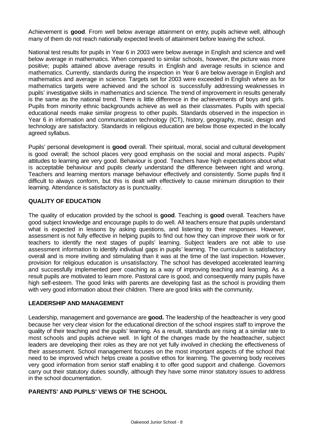Achievement is **good**. From well below average attainment on entry, pupils achieve well, although many of them do not reach nationally expected levels of attainment before leaving the school.

National test results for pupils in Year 6 in 2003 were below average in English and science and well below average in mathematics. When compared to similar schools, however, the picture was more positive; pupils attained above average results in English and average results in science and mathematics. Currently, standards during the inspection in Year 6 are below average in English and mathematics and average in science. Targets set for 2003 were exceeded in English where as for mathematics targets were achieved and the school is successfully addressing weaknesses in pupils' investigative skills in mathematics and science. The trend of improvement in results generally is the same as the national trend. There is little difference in the achievements of boys and girls. Pupils from minority ethnic backgrounds achieve as well as their classmates. Pupils with special educational needs make similar progress to other pupils. Standards observed in the inspection in Year 6 in information and communication technology (ICT), history, geography, music, design and technology are satisfactory. Standards in religious education are below those expected in the locally agreed syllabus.

Pupils' personal development is **good** overall. Their spiritual, moral, social and cultural development is good overall; the school places very good emphasis on the social and moral aspects. Pupils' attitudes to learning are very good. Behaviour is good. Teachers have high expectations about what is acceptable behaviour and pupils clearly understand the difference between right and wrong. Teachers and learning mentors manage behaviour effectively and consistently. Some pupils find it difficult to always conform, but this is dealt with effectively to cause minimum disruption to their learning. Attendance is satisfactory as is punctuality.

# **QUALITY OF EDUCATION**

The quality of education provided by the school is **good**. Teaching is **good** overall. Teachers have good subject knowledge and encourage pupils to do well. All teachers ensure that pupils understand what is expected in lessons by asking questions, and listening to their responses. However, assessment is not fully effective in helping pupils to find out how they can improve their work or for teachers to identify the next stages of pupils' learning. Subject leaders are not able to use assessment information to identify individual gaps in pupils' learning. The curriculum is satisfactory overall and is more inviting and stimulating than it was at the time of the last inspection. However, provision for religious education is unsatisfactory. The school has developed accelerated learning and successfully implemented peer coaching as a way of improving teaching and learning. As a result pupils are motivated to learn more. Pastoral care is good, and consequently many pupils have high self-esteem. The good links with parents are developing fast as the school is providing them with very good information about their children. There are good links with the community.

# **LEADERSHIP AND MANAGEMENT**

Leadership, management and governance are **good.** The leadership of the headteacher is very good because her very clear vision for the educational direction of the school inspires staff to improve the quality of their teaching and the pupils' learning. As a result, standards are rising at a similar rate to most schools and pupils achieve well. In light of the changes made by the headteacher, subject leaders are developing their roles as they are not yet fully involved in checking the effectiveness of their assessment. School management focuses on the most important aspects of the school that need to be improved which helps create a positive ethos for learning. The governing body receives very good information from senior staff enabling it to offer good support and challenge. Governors carry out their statutory duties soundly, although they have some minor statutory issues to address in the school documentation.

#### **PARENTS' AND PUPILS' VIEWS OF THE SCHOOL**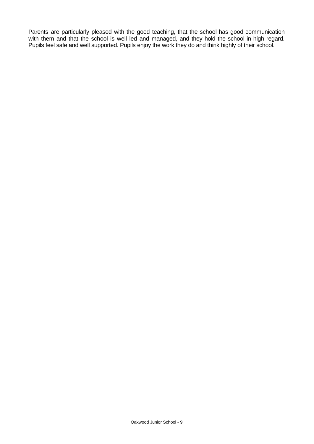Parents are particularly pleased with the good teaching, that the school has good communication with them and that the school is well led and managed, and they hold the school in high regard. Pupils feel safe and well supported. Pupils enjoy the work they do and think highly of their school.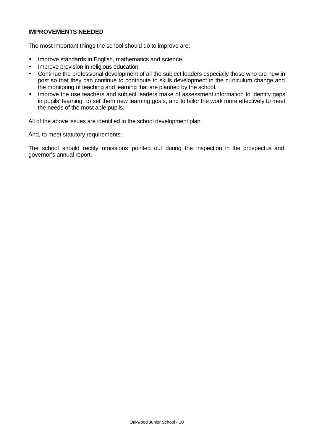#### **IMPROVEMENTS NEEDED**

The most important things the school should do to improve are:

- Improve standards in English, mathematics and science.
- Improve provision in religious education.
- Continue the professional development of all the subject leaders especially those who are new in post so that they can continue to contribute to skills development in the curriculum change and the monitoring of teaching and learning that are planned by the school.
- Improve the use teachers and subject leaders make of assessment information to identify gaps in pupils' learning, to set them new learning goals, and to tailor the work more effectively to meet the needs of the most able pupils.

All of the above issues are identified in the school development plan.

And, to meet statutory requirements:

The school should rectify omissions pointed out during the inspection in the prospectus and governor's annual report.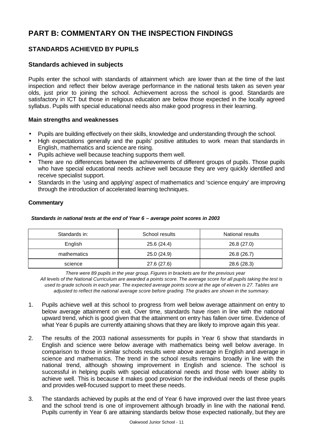# **PART B: COMMENTARY ON THE INSPECTION FINDINGS**

# **STANDARDS ACHIEVED BY PUPILS**

# **Standards achieved in subjects**

Pupils enter the school with standards of attainment which are lower than at the time of the last inspection and reflect their below average performance in the national tests taken as seven year olds, just prior to joining the school. Achievement across the school is good. Standards are satisfactory in ICT but those in religious education are below those expected in the locally agreed syllabus. Pupils with special educational needs also make good progress in their learning.

#### **Main strengths and weaknesses**

- Pupils are building effectively on their skills, knowledge and understanding through the school.
- High expectations generally and the pupils' positive attitudes to work mean that standards in English, mathematics and science are rising.
- Pupils achieve well because teaching supports them well.
- There are no differences between the achievements of different groups of pupils. Those pupils who have special educational needs achieve well because they are very quickly identified and receive specialist support.
- Standards in the 'using and applying' aspect of mathematics and 'science enquiry' are improving through the introduction of accelerated learning techniques.

# **Commentary**

| Standards in: | School results | National results |
|---------------|----------------|------------------|
| English       | 25.6 (24.4)    | 26.8 (27.0)      |
| mathematics   | 25.0 (24.9)    | 26.8 (26.7)      |
| science       | 27.6 (27.6)    | 28.6 (28.3)      |

#### *Standards in national tests at the end of Year 6 – average point scores in 2003*

 *There were 89 pupils in the year group. Figures in brackets are for the previous year*

*All levels of the National Curriculum are awarded a points score. The average score for all pupils taking the test is used to grade schools in each year. The expected average points score at the age of eleven is 27. Tables are adjusted to reflect the national average score before grading. The grades are shown in the summary.*

- 1. Pupils achieve well at this school to progress from well below average attainment on entry to below average attainment on exit. Over time, standards have risen in line with the national upward trend, which is good given that the attainment on entry has fallen over time. Evidence of what Year 6 pupils are currently attaining shows that they are likely to improve again this year.
- 2. The results of the 2003 national assessments for pupils in Year 6 show that standards in English and science were below average with mathematics being well below average. In comparison to those in similar schools results were above average in English and average in science and mathematics. The trend in the school results remains broadly in line with the national trend, although showing improvement in English and science. The school is successful in helping pupils with special educational needs and those with lower ability to achieve well. This is because it makes good provision for the individual needs of these pupils and provides well-focused support to meet these needs.
- 3. The standards achieved by pupils at the end of Year 6 have improved over the last three years and the school trend is one of improvement although broadly in line with the national trend. Pupils currently in Year 6 are attaining standards below those expected nationally, but they are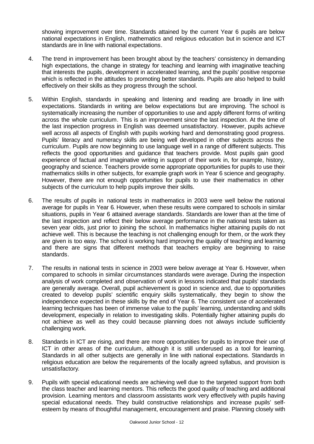showing improvement over time. Standards attained by the current Year 6 pupils are below national expectations in English, mathematics and religious education but in science and ICT standards are in line with national expectations.

- 4. The trend in improvement has been brought about by the teachers' consistency in demanding high expectations, the change in strategy for teaching and learning with imaginative teaching that interests the pupils, development in accelerated learning, and the pupils' positive response which is reflected in the attitudes to promoting better standards. Pupils are also helped to build effectively on their skills as they progress through the school.
- 5. Within English, standards in speaking and listening and reading are broadly in line with expectations. Standards in writing are below expectations but are improving. The school is systematically increasing the number of opportunities to use and apply different forms of writing across the whole curriculum. This is an improvement since the last inspection. At the time of the last inspection progress in English was deemed unsatisfactory. However, pupils achieve well across all aspects of English with pupils working hard and demonstrating good progress. Pupils' literacy and numeracy skills are being well developed in other subjects across the curriculum. Pupils are now beginning to use language well in a range of different subjects. This reflects the good opportunities and guidance that teachers provide. Most pupils gain good experience of factual and imaginative writing in support of their work in, for example, history, geography and science. Teachers provide some appropriate opportunities for pupils to use their mathematics skills in other subjects, for example graph work in Year 6 science and geography. However, there are not enough opportunities for pupils to use their mathematics in other subjects of the curriculum to help pupils improve their skills.
- 6. The results of pupils in national tests in mathematics in 2003 were well below the national average for pupils in Year 6. However, when these results were compared to schools in similar situations, pupils in Year 6 attained average standards. Standards are lower than at the time of the last inspection and reflect their below average performance in the national tests taken as seven year olds, just prior to joining the school. In mathematics higher attaining pupils do not achieve well. This is because the teaching is not challenging enough for them, or the work they are given is too easy. The school is working hard improving the quality of teaching and learning and there are signs that different methods that teachers employ are beginning to raise standards.
- 7. The results in national tests in science in 2003 were below average at Year 6. However, when compared to schools in similar circumstances standards were average. During the inspection analysis of work completed and observation of work in lessons indicated that pupils' standards are generally average. Overall, pupil achievement is good in science and, due to opportunities created to develop pupils' scientific enquiry skills systematically, they begin to show the independence expected in these skills by the end of Year 6. The consistent use of accelerated learning techniques has been of immense value to the pupils' learning, understanding and skills development, especially in relation to investigating skills. Potentially higher attaining pupils do not achieve as well as they could because planning does not always include sufficiently challenging work.
- 8. Standards in ICT are rising, and there are more opportunities for pupils to improve their use of ICT in other areas of the curriculum, although it is still underused as a tool for learning. Standards in all other subjects are generally in line with national expectations. Standards in religious education are below the requirements of the locally agreed syllabus, and provision is unsatisfactory.
- 9. Pupils with special educational needs are achieving well due to the targeted support from both the class teacher and learning mentors. This reflects the good quality of teaching and additional provision. Learning mentors and classroom assistants work very effectively with pupils having special educational needs. They build constructive relationships and increase pupils' selfesteem by means of thoughtful management, encouragement and praise. Planning closely with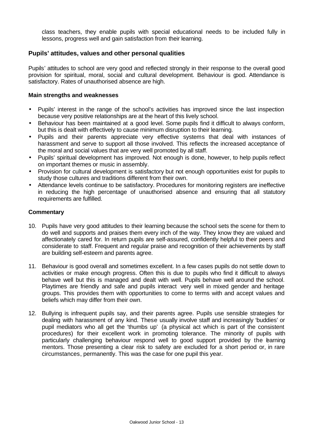class teachers, they enable pupils with special educational needs to be included fully in lessons, progress well and gain satisfaction from their learning.

# **Pupils' attitudes, values and other personal qualities**

Pupils' attitudes to school are very good and reflected strongly in their response to the overall good provision for spiritual, moral, social and cultural development. Behaviour is good. Attendance is satisfactory. Rates of unauthorised absence are high.

#### **Main strengths and weaknesses**

- Pupils' interest in the range of the school's activities has improved since the last inspection because very positive relationships are at the heart of this lively school.
- Behaviour has been maintained at a good level. Some pupils find it difficult to always conform, but this is dealt with effectively to cause minimum disruption to their learning.
- Pupils and their parents appreciate very effective systems that deal with instances of harassment and serve to support all those involved. This reflects the increased acceptance of the moral and social values that are very well promoted by all staff.
- Pupils' spiritual development has improved. Not enough is done, however, to help pupils reflect on important themes or music in assembly.
- Provision for cultural development is satisfactory but not enough opportunities exist for pupils to study those cultures and traditions different from their own.
- Attendance levels continue to be satisfactory. Procedures for monitoring registers are ineffective in reducing the high percentage of unauthorised absence and ensuring that all statutory requirements are fulfilled.

- 10. Pupils have very good attitudes to their learning because the school sets the scene for them to do well and supports and praises them every inch of the way. They know they are valued and affectionately cared for. In return pupils are self-assured, confidently helpful to their peers and considerate to staff. Frequent and regular praise and recognition of their achievements by staff are building self-esteem and parents agree.
- 11. Behaviour is good overall and sometimes excellent. In a few cases pupils do not settle down to activities or make enough progress. Often this is due to pupils who find it difficult to always behave well but this is managed and dealt with well. Pupils behave well around the school. Playtimes are friendly and safe and pupils interact very well in mixed gender and heritage groups. This provides them with opportunities to come to terms with and accept values and beliefs which may differ from their own.
- 12. Bullying is infrequent pupils say, and their parents agree. Pupils use sensible strategies for dealing with harassment of any kind. These usually involve staff and increasingly 'buddies' or pupil mediators who all get the 'thumbs up' (a physical act which is part of the consistent procedures) for their excellent work in promoting tolerance. The minority of pupils with particularly challenging behaviour respond well to good support provided by the learning mentors. Those presenting a clear risk to safety are excluded for a short period or, in rare circumstances, permanently. This was the case for one pupil this year.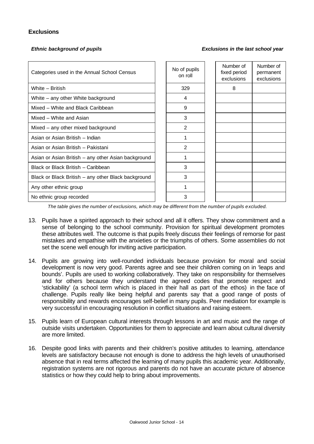# **Exclusions**

*Ethnic background of pupils Exclusions in the last school year*

| Categories used in the Annual School Census         | No of pupils<br>on roll | Number of<br>fixed period<br>exclusions | Number of<br>permanent<br>exclusions |
|-----------------------------------------------------|-------------------------|-----------------------------------------|--------------------------------------|
| White - British                                     | 329                     | 8                                       |                                      |
| White – any other White background                  | 4                       |                                         |                                      |
| Mixed – White and Black Caribbean                   | 9                       |                                         |                                      |
| Mixed - White and Asian                             | 3                       |                                         |                                      |
| Mixed – any other mixed background                  | 2                       |                                         |                                      |
| Asian or Asian British - Indian                     |                         |                                         |                                      |
| Asian or Asian British - Pakistani                  | 2                       |                                         |                                      |
| Asian or Asian British – any other Asian background |                         |                                         |                                      |
| Black or Black British - Caribbean                  | 3                       |                                         |                                      |
| Black or Black British – any other Black background | 3                       |                                         |                                      |
| Any other ethnic group                              |                         |                                         |                                      |
| No ethnic group recorded                            | 3                       |                                         |                                      |

*The table gives the number of exclusions, which may be different from the number of pupils excluded.*

- 13. Pupils have a spirited approach to their school and all it offers. They show commitment and a sense of belonging to the school community. Provision for spiritual development promotes these attributes well. The outcome is that pupils freely discuss their feelings of remorse for past mistakes and empathise with the anxieties or the triumphs of others. Some assemblies do not set the scene well enough for inviting active participation.
- 14. Pupils are growing into well-rounded individuals because provision for moral and social development is now very good. Parents agree and see their children coming on in 'leaps and bounds'. Pupils are used to working collaboratively. They take on responsibility for themselves and for others because they understand the agreed codes that promote respect and 'stickability' (a school term which is placed in their hall as part of the ethos) in the face of challenge. Pupils really like being helpful and parents say that a good range of posts of responsibility and rewards encourages self-belief in many pupils. Peer mediation for example is very successful in encouraging resolution in conflict situations and raising esteem.
- 15. Pupils learn of European cultural interests through lessons in art and music and the range of outside visits undertaken. Opportunities for them to appreciate and learn about cultural diversity are more limited.
- 16. Despite good links with parents and their children's positive attitudes to learning, attendance levels are satisfactory because not enough is done to address the high levels of unauthorised absence that in real terms affected the learning of many pupils this academic year. Additionally, registration systems are not rigorous and parents do not have an accurate picture of absence statistics or how they could help to bring about improvements.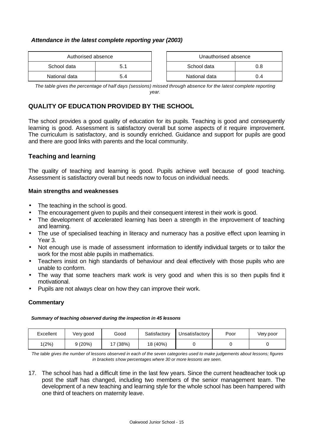#### *Attendance in the latest complete reporting year (2003)*

| Authorised absence |     | Unauthorised absence |     |
|--------------------|-----|----------------------|-----|
| School data        | 5.1 | School data          | 0.8 |
| National data      | 5.4 | National data        | ገ.4 |

| Unauthorised absence |     |  |  |
|----------------------|-----|--|--|
| School data<br>0 8   |     |  |  |
| National data        | በ 4 |  |  |

*The table gives the percentage of half days (sessions) missed through absence for the latest complete reporting year.*

# **QUALITY OF EDUCATION PROVIDED BY THE SCHOOL**

The school provides a good quality of education for its pupils. Teaching is good and consequently learning is good. Assessment is satisfactory overall but some aspects of it require improvement. The curriculum is satisfactory, and is soundly enriched. Guidance and support for pupils are good and there are good links with parents and the local community.

# **Teaching and learning**

The quality of teaching and learning is good. Pupils achieve well because of good teaching. Assessment is satisfactory overall but needs now to focus on individual needs.

#### **Main strengths and weaknesses**

- The teaching in the school is good.
- The encouragement given to pupils and their consequent interest in their work is good.
- The development of accelerated learning has been a strength in the improvement of teaching and learning.
- The use of specialised teaching in literacy and numeracy has a positive effect upon learning in Year 3.
- Not enough use is made of assessment information to identify individual targets or to tailor the work for the most able pupils in mathematics.
- Teachers insist on high standards of behaviour and deal effectively with those pupils who are unable to conform.
- The way that some teachers mark work is very good and when this is so then pupils find it motivational.
- Pupils are not always clear on how they can improve their work.

# **Commentary**

#### *Summary of teaching observed during the inspection in 45 lessons*

| Excellent | √ery good | Good   | Satisfactory | Unsatisfactory | Poor | Very poor |
|-----------|-----------|--------|--------------|----------------|------|-----------|
| 1(2%)     | 9(20%)    | 7(38%) | 18 (40%)     |                |      |           |

*The table gives the number of lessons observed in each of the seven categories used to make judgements about lessons; figures in brackets show percentages where 30 or more lessons are seen.*

17. The school has had a difficult time in the last few years. Since the current headteacher took up post the staff has changed, including two members of the senior management team. The development of a new teaching and learning style for the whole school has been hampered with one third of teachers on maternity leave.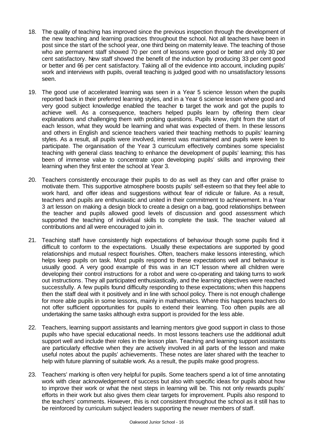- 18. The quality of teaching has improved since the previous inspection through the development of the new teaching and learning practices throughout the school. Not all teachers have been in post since the start of the school year, one third being on maternity leave. The teaching of those who are permanent staff showed 70 per cent of lessons were good or better and only 30 per cent satisfactory. New staff showed the benefit of the induction by producing 33 per cent good or better and 66 per cent satisfactory. Taking all of the evidence into account, including pupils' work and interviews with pupils, overall teaching is judged good with no unsatisfactory lessons seen.
- 19. The good use of accelerated learning was seen in a Year 5 science lesson when the pupils reported back in their preferred learning styles, and in a Year 6 science lesson where good and very good subject knowledge enabled the teacher to target the work and got the pupils to achieve well. As a consequence, teachers helped pupils learn by offering them clear explanations and challenging them with probing questions. Pupils knew, right from the start of each lesson, what they would be learning and what was expected of them. In these lessons and others in English and science teachers varied their teaching methods to pupils' learning styles. As a result, all pupils were involved, interest was maintained and pupils were keen to participate. The organisation of the Year 3 curriculum effectively combines some specialist teaching with general class teaching to enhance the development of pupils' learning; this has been of immense value to concentrate upon developing pupils' skills and improving their learning when they first enter the school at Year 3.
- 20. Teachers consistently encourage their pupils to do as well as they can and offer praise to motivate them. This supportive atmosphere boosts pupils' self-esteem so that they feel able to work hard, and offer ideas and suggestions without fear of ridicule or failure. As a result, teachers and pupils are enthusiastic and united in their commitment to achievement. In a Year 3 art lesson on making a design block to create a design on a bag, good relationships between the teacher and pupils allowed good levels of discussion and good assessment which supported the teaching of individual skills to complete the task. The teacher valued all contributions and all were encouraged to join in.
- 21. Teaching staff have consistently high expectations of behaviour though some pupils find it difficult to conform to the expectations. Usually these expectations are supported by good relationships and mutual respect flourishes. Often, teachers make lessons interesting, which helps keep pupils on task. Most pupils respond to these expectations well and behaviour is usually good. A very good example of this was in an ICT lesson where all children were developing their control instructions for a robot and were co-operating and taking turns to work out instructions. They all participated enthusiastically, and the learning objectives were reached successfully. A few pupils found difficulty responding to these expectations; when this happens then the staff deal with it positively and in line with school policy. There is not enough challenge for more able pupils in some lessons, mainly in mathematics. Where this happens teachers do not offer sufficient opportunities for pupils to extend their learning. Too often pupils are all undertaking the same tasks although extra support is provided for the less able.
- 22. Teachers, learning support assistants and learning mentors give good support in class to those pupils who have special educational needs. In most lessons teachers use the additional adult support well and include their roles in the lesson plan. Teaching and learning support assistants are particularly effective when they are actively involved in all parts of the lesson and make useful notes about the pupils' achievements. These notes are later shared with the teacher to help with future planning of suitable work. As a result, the pupils make good progress.
- 23. Teachers' marking is often very helpful for pupils. Some teachers spend a lot of time annotating work with clear acknowledgement of success but also with specific ideas for pupils about how to improve their work or what the next steps in learning will be. This not only rewards pupils' efforts in their work but also gives them clear targets for improvement. Pupils also respond to the teachers' comments. However, this is not consistent throughout the school as it still has to be reinforced by curriculum subject leaders supporting the newer members of staff.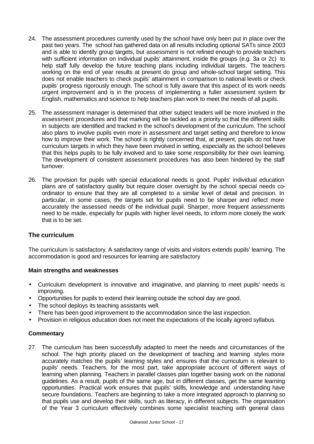- 24. The assessment procedures currently used by the school have only been put in place over the past two years. The school has gathered data on all results including optional SATs since 2003 and is able to identify group targets, but assessment is not refined enough to provide teachers with sufficient information on individual pupils' attainment, inside the groups (e.g. 3a or 2c) to help staff fully develop the future teaching plans including individual targets. The teachers working on the end of year results at present do group and whole-school target setting. This does not enable teachers to check pupils' attainment in comparison to national levels or check pupils' progress rigorously enough. The school is fully aware that this aspect of its work needs urgent improvement and is in the process of implementing a fuller assessment system for English, mathematics and science to help teachers plan work to meet the needs of all pupils.
- 25. The assessment manager is determined that other subject leaders will be more involved in the assessment procedures and that marking will be tackled as a priority so that the different skills in subjects are identified and tracked in the school's development of the curriculum. The school also plans to involve pupils even more in assessment and target setting and therefore to know how to improve their work. The school is rightly concerned that, at present, pupils do not have curriculum targets in which they have been involved in setting, especially as the school believes that this helps pupils to be fully involved and to take some responsibility for their own learning. The development of consistent assessment procedures has also been hindered by the staff turnover.
- 26. The provision for pupils with special educational needs is good. Pupils' individual education plans are of satisfactory quality but require closer oversight by the school special needs coordinator to ensure that they are all completed to a similar level of detail and precision. In particular, in some cases, the targets set for pupils need to be sharper and reflect more accurately the assessed needs of the individual pupil. Sharper, more frequent assessments need to be made, especially for pupils with higher level needs, to inform more closely the work that is to be set.

#### **The curriculum**

The curriculum is satisfactory. A satisfactory range of visits and visitors extends pupils' learning. The accommodation is good and resources for learning are satisfactory

#### **Main strengths and weaknesses**

- Curriculum development is innovative and imaginative, and planning to meet pupils' needs is improving.
- Opportunities for pupils to extend their learning outside the school day are good.
- The school deploys its teaching assistants well.
- There has been good improvement to the accommodation since the last inspection.
- Provision in religious education does not meet the expectations of the locally agreed syllabus.

#### **Commentary**

27. The curriculum has been successfully adapted to meet the needs and circumstances of the school. The high priority placed on the development of teaching and learning styles more accurately matches the pupils' learning styles and ensures that the curriculum is relevant to pupils' needs. Teachers, for the most part, take appropriate account of different ways of learning when planning. Teachers in parallel classes plan together basing work on the national guidelines. As a result, pupils of the same age, but in different classes, get the same learning opportunities. Practical work ensures that pupils' skills, knowledge and understanding have secure foundations. Teachers are beginning to take a more integrated approach to planning so that pupils use and develop their skills, such as literacy, in different subjects. The organisation of the Year 3 curriculum effectively combines some specialist teaching with general class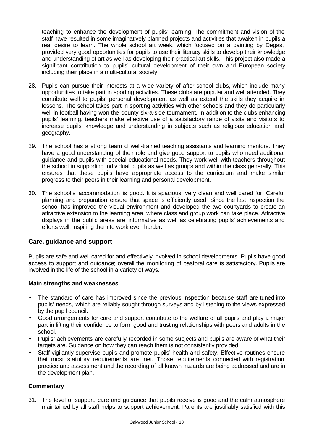teaching to enhance the development of pupils' learning. The commitment and vision of the staff have resulted in some imaginatively planned projects and activities that awaken in pupils a real desire to learn. The whole school art week, which focused on a painting by Degas, provided very good opportunities for pupils to use their literacy skills to develop their knowledge and understanding of art as well as developing their practical art skills. This project also made a significant contribution to pupils' cultural development of their own and European society including their place in a multi-cultural society.

- 28. Pupils can pursue their interests at a wide variety of after-school clubs, which include many opportunities to take part in sporting activities. These clubs are popular and well attended. They contribute well to pupils' personal development as well as extend the skills they acquire in lessons. The school takes part in sporting activities with other schools and they do particularly well in football having won the county six-a-side tournament. In addition to the clubs enhancing pupils' learning, teachers make effective use of a satisfactory range of visits and visitors to increase pupils' knowledge and understanding in subjects such as religious education and geography.
- 29. The school has a strong team of well-trained teaching assistants and learning mentors. They have a good understanding of their role and give good support to pupils who need additional guidance and pupils with special educational needs. They work well with teachers throughout the school in supporting individual pupils as well as groups and within the class generally. This ensures that these pupils have appropriate access to the curriculum and make similar progress to their peers in their learning and personal development.
- 30. The school's accommodation is good. It is spacious, very clean and well cared for. Careful planning and preparation ensure that space is efficiently used. Since the last inspection the school has improved the visual environment and developed the two courtyards to create an attractive extension to the learning area, where class and group work can take place. Attractive displays in the public areas are informative as well as celebrating pupils' achievements and efforts well, inspiring them to work even harder.

# **Care, guidance and support**

Pupils are safe and well cared for and effectively involved in school developments. Pupils have good access to support and guidance; overall the monitoring of pastoral care is satisfactory. Pupils are involved in the life of the school in a variety of ways.

#### **Main strengths and weaknesses**

- The standard of care has improved since the previous inspection because staff are tuned into pupils' needs, which are reliably sought through surveys and by listening to the views expressed by the pupil council.
- Good arrangements for care and support contribute to the welfare of all pupils and play a major part in lifting their confidence to form good and trusting relationships with peers and adults in the school.
- Pupils' achievements are carefully recorded in some subjects and pupils are aware of what their targets are. Guidance on how they can reach them is not consistently provided.
- Staff vigilantly supervise pupils and promote pupils' health and safety. Effective routines ensure that most statutory requirements are met. Those requirements connected with registration practice and assessment and the recording of all known hazards are being addressed and are in the development plan.

#### **Commentary**

31. The level of support, care and guidance that pupils receive is good and the calm atmosphere maintained by all staff helps to support achievement. Parents are justifiably satisfied with this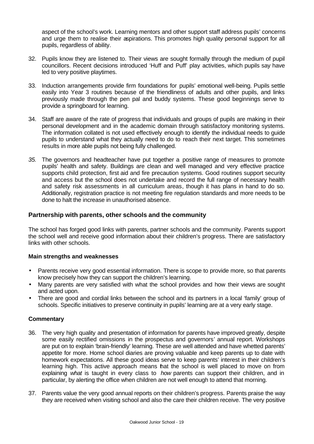aspect of the school's work. Learning mentors and other support staff address pupils' concerns and urge them to realise their aspirations. This promotes high quality personal support for all pupils, regardless of ability.

- 32. Pupils know they are listened to. Their views are sought formally through the medium of pupil councillors. Recent decisions introduced 'Huff and Puff' play activities, which pupils say have led to very positive playtimes.
- 33. Induction arrangements provide firm foundations for pupils' emotional well-being. Pupils settle easily into Year 3 routines because of the friendliness of adults and other pupils, and links previously made through the pen pal and buddy systems. These good beginnings serve to provide a springboard for learning.
- 34. Staff are aware of the rate of progress that individuals and groups of pupils are making in their personal development and in the academic domain through satisfactory monitoring systems. The information collated is not used effectively enough to identify the individual needs to guide pupils to understand what they actually need to do to reach their next target. This sometimes results in more able pupils not being fully challenged.
- *35.* The governors and headteacher have put together a positive range of measures to promote pupils' health and safety. Buildings are clean and well managed and very effective practice supports child protection, first aid and fire precaution systems. Good routines support security and access but the school does not undertake and record the full range of necessary health and safety risk assessments in all curriculum areas, though it has plans in hand to do so. Additionally, registration practice is not meeting fire regulation standards and more needs to be done to halt the increase in unauthorised absence.

# **Partnership with parents, other schools and the community**

The school has forged good links with parents, partner schools and the community. Parents support the school well and receive good information about their children's progress. There are satisfactory links with other schools.

#### **Main strengths and weaknesses**

- Parents receive very good essential information. There is scope to provide more, so that parents know precisely how they can support the children's learning.
- Many parents are very satisfied with what the school provides and how their views are sought and acted upon.
- There are good and cordial links between the school and its partners in a local 'family' group of schools. Specific initiatives to preserve continuity in pupils' learning are at a very early stage.

- 36. The very high quality and presentation of information for parents have improved greatly, despite some easily rectified omissions in the prospectus and governors' annual report. Workshops are put on to explain 'brain-friendly' learning. These are well attended and have whetted parents' appetite for more. Home school diaries are proving valuable and keep parents up to date with homework expectations. All these good ideas serve to keep parents' interest in their children's learning high. This active approach means that the school is well placed to move on from explaining *what* is taught in every class to *how* parents can support their children, and in particular, by alerting the office when children are not well enough to attend that morning.
- 37. Parents value the very good annual reports on their children's progress. Parents praise the way they are received when visiting school and also the care their children receive. The very positive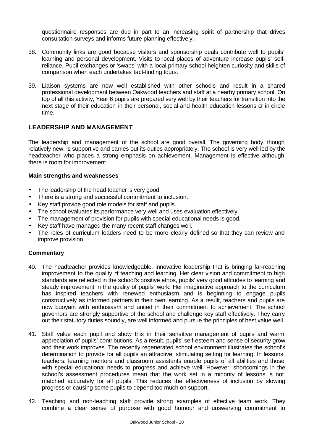questionnaire responses are due in part to an increasing spirit of partnership that drives consultation surveys and informs future planning effectively.

- 38. Community links are good because visitors and sponsorship deals contribute well to pupils' learning and personal development. Visits to local places of adventure increase pupils' selfreliance. Pupil exchanges or 'swaps' with a local primary school heighten curiosity and skills of comparison when each undertakes fact-finding tours.
- 39. Liaison systems are now well established with other schools and result in a shared professional development between Oakwood teachers and staff at a nearby primary school. On top of all this activity, Year 6 pupils are prepared very well by their teachers for transition into the next stage of their education in their personal, social and health education lessons or in circle time.

# **LEADERSHIP AND MANAGEMENT**

The leadership and management of the school are good overall. The governing body, though relatively new, is supportive and carries out its duties appropriately. The school is very well led by the headteacher who places a strong emphasis on achievement. Management is effective although there is room for improvement.

#### **Main strengths and weaknesses**

- The leadership of the head teacher is very good.
- There is a strong and successful commitment to inclusion.
- Key staff provide good role models for staff and pupils.
- The school evaluates its performance very well and uses evaluation effectively.
- The management of provision for pupils with special educational needs is good.
- Key staff have managed the many recent staff changes well.
- The roles of curriculum leaders need to be more clearly defined so that they can review and improve provision.

- 40. The headteacher provides knowledgeable, innovative leadership that is bringing far-reaching improvement to the quality of teaching and learning. Her clear vision and commitment to high standards are reflected in the school's positive ethos, pupils' very good attitudes to learning and steady improvement in the quality of pupils' work. Her imaginative approach to the curriculum has inspired teachers with renewed enthusiasm and is beginning to engage pupils constructively as informed partners in their own learning. As a result, teachers and pupils are now buoyant with enthusiasm and united in their commitment to achievement. The school governors are strongly supportive of the school and challenge key staff effectively. They carry out their statutory duties soundly, are well informed and pursue the principles of best value well.
- 41. Staff value each pupil and show this in their sensitive management of pupils and warm appreciation of pupils' contributions. As a result, pupils' self-esteem and sense of security grow and their work improves. The recently regenerated school environment illustrates the school's determination to provide for all pupils an attractive, stimulating setting for learning. In lessons, teachers, learning mentors and classroom assistants enable pupils of all abilities and those with special educational needs to progress and achieve well. However, shortcomings in the school's assessment procedures mean that the work set in a minority of lessons is not matched accurately for all pupils. This reduces the effectiveness of inclusion by slowing progress or causing some pupils to depend too much on support.
- 42. Teaching and non-teaching staff provide strong examples of effective team work. They combine a clear sense of purpose with good humour and unswerving commitment to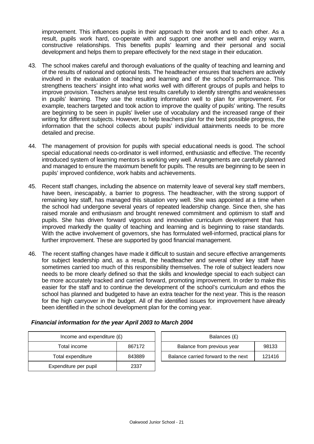improvement. This influences pupils in their approach to their work and to each other. As a result, pupils work hard, co-operate with and support one another well and enjoy warm, constructive relationships. This benefits pupils' learning and their personal and social development and helps them to prepare effectively for the next stage in their education.

- 43. The school makes careful and thorough evaluations of the quality of teaching and learning and of the results of national and optional tests. The headteacher ensures that teachers are actively involved in the evaluation of teaching and learning and of the school's performance. This strengthens teachers' insight into what works well with different groups of pupils and helps to improve provision. Teachers analyse test results carefully to identify strengths and weaknesses in pupils' learning. They use the resulting information well to plan for improvement. For example, teachers targeted and took action to improve the quality of pupils' writing. The results are beginning to be seen in pupils' livelier use of vocabulary and the increased range of their writing for different subjects. However, to help teachers plan for the best possible progress, the information that the school collects about pupils' individual attainments needs to be more detailed and precise.
- 44. The management of provision for pupils with special educational needs is good. The school special educational needs co-ordinator is well informed, enthusiastic and effective. The recently introduced system of learning mentors is working very well. Arrangements are carefully planned and managed to ensure the maximum benefit for pupils. The results are beginning to be seen in pupils' improved confidence, work habits and achievements.
- 45. Recent staff changes, including the absence on maternity leave of several key staff members, have been, inescapably, a barrier to progress. The headteacher, with the strong support of remaining key staff, has managed this situation very well. She was appointed at a time when the school had undergone several years of repeated leadership change. Since then, she has raised morale and enthusiasm and brought renewed commitment and optimism to staff and pupils. She has driven forward vigorous and innovative curriculum development that has improved markedly the quality of teaching and learning and is beginning to raise standards. With the active involvement of governors, she has formulated well-informed, practical plans for further improvement. These are supported by good financial management.
- 46. The recent staffing changes have made it difficult to sustain and secure effective arrangements for subject leadership and, as a result, the headteacher and several other key staff have sometimes carried too much of this responsibility themselves. The role of subject leaders now needs to be more clearly defined so that the skills and knowledge special to each subject can be more accurately tracked and carried forward, promoting improvement. In order to make this easier for the staff and to continue the development of the school's curriculum and ethos the school has planned and budgeted to have an extra teacher for the next year. This is the reason for the high carryover in the budget. All of the identified issues for improvement have already been identified in the school development plan for the coming year.

| Income and expenditure $(E)$ |        | Balances (£)                   |
|------------------------------|--------|--------------------------------|
| Total income                 | 867172 | Balance from previous year     |
| Total expenditure            | 843889 | Balance carried forward to the |
| Expenditure per pupil        | 2337   |                                |

| Income and expenditure $(E)$ |        | Balances (£)                        |        |
|------------------------------|--------|-------------------------------------|--------|
| Total income                 | 867172 | Balance from previous year          | 98133  |
| Total expenditure            | 843889 | Balance carried forward to the next | 121416 |

# *Financial information for the year April 2003 to March 2004*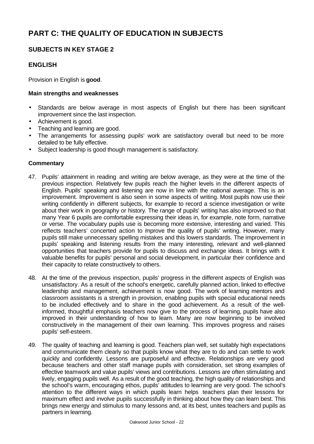# **PART C: THE QUALITY OF EDUCATION IN SUBJECTS**

# **SUBJECTS IN KEY STAGE 2**

# **ENGLISH**

Provision in English is **good**.

#### **Main strengths and weaknesses**

- Standards are below average in most aspects of English but there has been significant improvement since the last inspection.
- Achievement is good.
- Teaching and learning are good.
- The arrangements for assessing pupils' work are satisfactory overall but need to be more detailed to be fully effective.
- Subject leadership is good though management is satisfactory.

- 47. Pupils' attainment in reading and writing are below average, as they were at the time of the previous inspection. Relatively few pupils reach the higher levels in the different aspects of English. Pupils' speaking and listening are now in line with the national average. This is an improvement. Improvement is also seen in some aspects of writing. Most pupils now use their writing confidently in different subjects, for example to record a science investigation or write about their work in geography or history. The range of pupils' writing has also improved so that many Year 6 pupils are comfortable expressing their ideas in, for example, note form, narrative or verse. The vocabulary pupils use is becoming more extensive, interesting and varied. This reflects teachers' concerted action to improve the quality of pupils' writing. However, many pupils still make unnecessary spelling mistakes and this lowers standards. The improvement in pupils' speaking and listening results from the many interesting, relevant and well-planned opportunities that teachers provide for pupils to discuss and exchange ideas. It brings with it valuable benefits for pupils' personal and social development, in particular their confidence and their capacity to relate constructively to others.
- 48. At the time of the previous inspection, pupils' progress in the different aspects of English was unsatisfactory. As a result of the school's energetic, carefully planned action, linked to effective leadership and management, achievement is now good. The work of learning mentors and classroom assistants is a strength in provision, enabling pupils with special educational needs to be included effectively and to share in the good achievement. As a result of the wellinformed, thoughtful emphasis teachers now give to the process of learning, pupils have also improved in their understanding of how to learn. Many are now beginning to be involved constructively in the management of their own learning. This improves progress and raises pupils' self-esteem.
- 49. The quality of teaching and learning is good. Teachers plan well, set suitably high expectations and communicate them clearly so that pupils know what they are to do and can settle to work quickly and confidently. Lessons are purposeful and effective. Relationships are very good because teachers and other staff manage pupils with consideration, set strong examples of effective teamwork and value pupils' views and contributions. Lessons are often stimulating and lively, engaging pupils well. As a result of the good teaching, the high quality of relationships and the school's warm, encouraging ethos, pupils' attitudes to learning are very good. The school's attention to the different ways in which pupils learn helps teachers plan their lessons for maximum effect and involve pupils successfully in thinking about how they can learn best. This brings new energy and stimulus to many lessons and, at its best, unites teachers and pupils as partners in learning.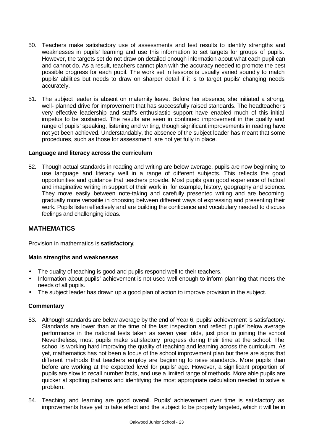- 50. Teachers make satisfactory use of assessments and test results to identify strengths and weaknesses in pupils' learning and use this information to set targets for groups of pupils. However, the targets set do not draw on detailed enough information about what each pupil can and cannot do. As a result, teachers cannot plan with the accuracy needed to promote the best possible progress for each pupil. The work set in lessons is usually varied soundly to match pupils' abilities but needs to draw on sharper detail if it is to target pupils' changing needs accurately.
- 51. The subject leader is absent on maternity leave. Before her absence, she initiated a strong, well- planned drive for improvement that has successfully raised standards. The headteacher's very effective leadership and staff's enthusiastic support have enabled much of this initial impetus to be sustained. The results are seen in continued improvement in the quality and range of pupils' speaking, listening and writing, though significant improvements in reading have not yet been achieved. Understandably, the absence of the subject leader has meant that some procedures, such as those for assessment, are not yet fully in place.

#### **Language and literacy across the curriculum**

52. Though actual standards in reading and writing are below average, pupils are now beginning to use language and literacy well in a range of different subjects. This reflects the good opportunities and guidance that teachers provide. Most pupils gain good experience of factual and imaginative writing in support of their work in, for example, history, geography and science. They move easily between note-taking and carefully presented writing and are becoming gradually more versatile in choosing between different ways of expressing and presenting their work. Pupils listen effectively and are building the confidence and vocabulary needed to discuss feelings and challenging ideas.

# **MATHEMATICS**

Provision in mathematics is **satisfactory**.

#### **Main strengths and weaknesses**

- The quality of teaching is good and pupils respond well to their teachers.
- Information about pupils' achievement is not used well enough to inform planning that meets the needs of all pupils.
- The subject leader has drawn up a good plan of action to improve provision in the subject.

- 53. Although standards are below average by the end of Year 6, pupils' achievement is satisfactory. Standards are lower than at the time of the last inspection and reflect pupils' below average performance in the national tests taken as seven year olds, just prior to joining the school Nevertheless, most pupils make satisfactory progress during their time at the school. The school is working hard improving the quality of teaching and learning across the curriculum. As yet, mathematics has not been a focus of the school improvement plan but there are signs that different methods that teachers employ are beginning to raise standards. More pupils than before are working at the expected level for pupils' age. However, a significant proportion of pupils are slow to recall number facts, and use a limited range of methods. More able pupils are quicker at spotting patterns and identifying the most appropriate calculation needed to solve a problem.
- 54. Teaching and learning are good overall. Pupils' achievement over time is satisfactory as improvements have yet to take effect and the subject to be properly targeted, which it will be in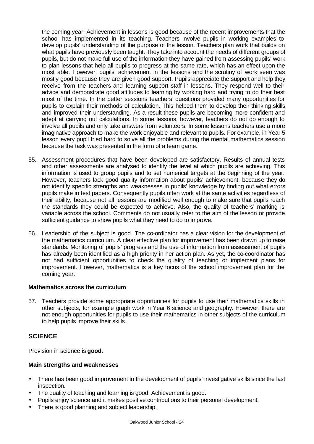the coming year. Achievement in lessons is good because of the recent improvements that the school has implemented in its teaching. Teachers involve pupils in working examples to develop pupils' understanding of the purpose of the lesson. Teachers plan work that builds on what pupils have previously been taught. They take into account the needs of different groups of pupils, but do not make full use of the information they have gained from assessing pupils' work to plan lessons that help all pupils to progress at the same rate, which has an effect upon the most able. However, pupils' achievement in the lessons and the scrutiny of work seen was mostly good because they are given good support. Pupils appreciate the support and help they receive from the teachers and learning support staff in lessons. They respond well to their advice and demonstrate good attitudes to learning by working hard and trying to do their best most of the time. In the better sessions teachers' questions provided many opportunities for pupils to explain their methods of calculation. This helped them to develop their thinking skills and improved their understanding. As a result these pupils are becoming more confident and adept at carrying out calculations. In some lessons, however, teachers do not do enough to involve all pupils and only take answers from volunteers. In some lessons teachers use a more imaginative approach to make the work enjoyable and relevant to pupils. For example, in Year 5 lesson every pupil tried hard to solve all the problems during the mental mathematics session because the task was presented in the form of a team game.

- 55. Assessment procedures that have been developed are satisfactory. Results of annual tests and other assessments are analysed to identify the level at which pupils are achieving. This information is used to group pupils and to set numerical targets at the beginning of the year. However, teachers lack good quality information about pupils' achievement, because they do not identify specific strengths and weaknesses in pupils' knowledge by finding out what errors pupils make in test papers. Consequently pupils often work at the same activities regardless of their ability, because not all lessons are modified well enough to make sure that pupils reach the standards they could be expected to achieve. Also, the quality of teachers' marking is variable across the school. Comments do not usually refer to the aim of the lesson or provide sufficient guidance to show pupils what they need to do to improve.
- 56. Leadership of the subject is good. The co-ordinator has a clear vision for the development of the mathematics curriculum. A clear effective plan for improvement has been drawn up to raise standards. Monitoring of pupils' progress and the use of information from assessment of pupils has already been identified as a high priority in her action plan. As yet, the co-coordinator has not had sufficient opportunities to check the quality of teaching or implement plans for improvement. However, mathematics is a key focus of the school improvement plan for the coming year.

#### **Mathematics across the curriculum**

57. Teachers provide some appropriate opportunities for pupils to use their mathematics skills in other subjects, for example graph work in Year 6 science and geography. However, there are not enough opportunities for pupils to use their mathematics in other subjects of the curriculum to help pupils improve their skills.

# **SCIENCE**

Provision in science is **good**.

#### **Main strengths and weaknesses**

- There has been good improvement in the development of pupils' investigative skills since the last inspection.
- The quality of teaching and learning is good. Achievement is good.
- Pupils enjoy science and it makes positive contributions to their personal development.
- There is good planning and subject leadership.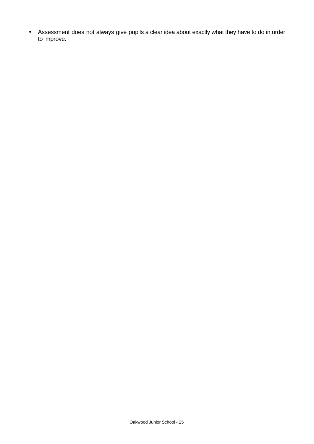• Assessment does not always give pupils a clear idea about exactly what they have to do in order to improve.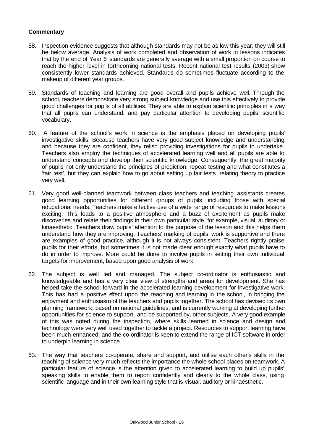- 58. Inspection evidence suggests that although standards may not be as low this year, they will still be below average. Analysis of work completed and observation of work in lessons indicates that by the end of Year 6, standards are generally average with a small proportion on course to reach the higher level in forthcoming national tests. Recent national test results (2003) show consistently lower standards achieved. Standards do sometimes fluctuate according to the makeup of different year groups.
- 59. Standards of teaching and learning are good overall and pupils achieve well. Through the school, teachers demonstrate very strong subject knowledge and use this effectively to provide good challenges for pupils of all abilities. They are able to explain scientific principles in a way that all pupils can understand, and pay particular attention to developing pupils' scientific vocabulary.
- 60. A feature of the school's work in science is the emphasis placed on developing pupils' investigative skills. Because teachers have very good subject knowledge and understanding and because they are confident, they relish providing investigations for pupils to undertake. Teachers also employ the techniques of accelerated learning well and all pupils are able to understand concepts and develop their scientific knowledge. Consequently, the great majority of pupils not only understand the principles of prediction, repeat testing and what constitutes a 'fair test', but they can explain how to go about setting up fair tests, relating theory to practice very well.
- 61. Very good well-planned teamwork between class teachers and teaching assistants creates good learning opportunities for different groups of pupils, including those with special educational needs. Teachers make effective use of a wide range of resources to make lessons exciting. This leads to a positive atmosphere and a buzz of excitement as pupils make discoveries and relate their findings in their own particular style, for example, visual, auditory or kinaesthetic. Teachers draw pupils' attention to the purpose of the lesson and this helps them understand how they are improving. Teachers' marking of pupils' work is supportive and there are examples of good practice, although it is not always consistent. Teachers rightly praise pupils for their efforts, but sometimes it is not made clear enough exactly what pupils have to do in order to improve. More could be done to involve pupils in setting their own individual targets for improvement, based upon good analysis of work.
- 62. The subject is well led and managed. The subject co-ordinator is enthusiastic and knowledgeable and has a very clear view of strengths and areas for development. She has helped take the school forward in the accelerated learning development for investigative work. This has had a positive effect upon the teaching and learning in the school, in bringing the enjoyment and enthusiasm of the teachers and pupils together. The school has devised its own planning framework, based on national guidelines, and is currently working at developing further opportunities for science to support, and be supported by, other subjects. A very good example of this was noted during the inspection, where skills learned in science and design and technology were very well used together to tackle a project. Resources to support learning have been much enhanced, and the co-ordinator is keen to extend the range of ICT software in order to underpin learning in science.
- 63. The way that teachers co-operate, share and support, and utilise each other's skills in the teaching of science very much reflects the importance the whole school places on teamwork. A particular feature of science is the attention given to accelerated learning to build up pupils' speaking skills to enable them to report confidently and clearly to the whole class, using scientific language and in their own learning style that is visual, auditory or kinaesthetic.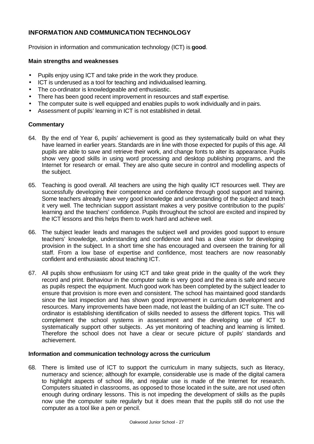# **INFORMATION AND COMMUNICATION TECHNOLOGY**

Provision in information and communication technology (ICT) is **good**.

#### **Main strengths and weaknesses**

- Pupils enjoy using ICT and take pride in the work they produce.
- ICT is underused as a tool for teaching and individualised learning.
- The co-ordinator is knowledgeable and enthusiastic.
- There has been good recent improvement in resources and staff expertise.
- The computer suite is well equipped and enables pupils to work individually and in pairs.
- Assessment of pupils' learning in ICT is not established in detail.

# **Commentary**

- 64. By the end of Year 6, pupils' achievement is good as they systematically build on what they have learned in earlier years. Standards are in line with those expected for pupils of this age. All pupils are able to save and retrieve their work, and change fonts to alter its appearance. Pupils show very good skills in using word processing and desktop publishing programs, and the Internet for research or email. They are also quite secure in control and modelling aspects of the subject.
- 65. Teaching is good overall. All teachers are using the high quality ICT resources well. They are successfully developing their competence and confidence through good support and training. Some teachers already have very good knowledge and understanding of the subject and teach it very well. The technician support assistant makes a very positive contribution to the pupils' learning and the teachers' confidence. Pupils throughout the school are excited and inspired by the ICT lessons and this helps them to work hard and achieve well.
- 66. The subject leader leads and manages the subject well and provides good support to ensure teachers' knowledge, understanding and confidence and has a clear vision for developing provision in the subject. In a short time she has encouraged and overseen the training for all staff. From a low base of expertise and confidence, most teachers are now reasonably confident and enthusiastic about teaching ICT.
- 67. All pupils show enthusiasm for using ICT and take great pride in the quality of the work they record and print. Behaviour in the computer suite is very good and the area is safe and secure as pupils respect the equipment. Much good work has been completed by the subject leader to ensure that provision is more even and consistent. The school has maintained good standards since the last inspection and has shown good improvement in curriculum development and resources. Many improvements have been made, not least the building of an ICT suite. The coordinator is establishing identification of skills needed to assess the different topics. This will complement the school systems in assessment and the developing use of ICT to systematically support other subjects. .As yet monitoring of teaching and learning is limited. Therefore the school does not have a clear or secure picture of pupils' standards and achievement.

#### **Information and communication technology across the curriculum**

68. There is limited use of ICT to support the curriculum in many subjects, such as literacy, numeracy and science; although for example, considerable use is made of the digital camera to highlight aspects of school life, and regular use is made of the Internet for research. Computers situated in classrooms, as opposed to those located in the suite, are not used often enough during ordinary lessons. This is not impeding the development of skills as the pupils now use the computer suite regularly but it does mean that the pupils still do not use the computer as a tool like a pen or pencil.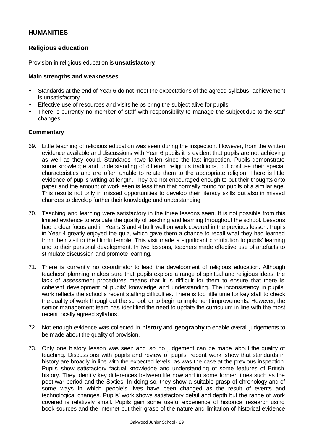# **HUMANITIES**

# **Religious education**

Provision in religious education is **unsatisfactory**.

#### **Main strengths and weaknesses**

- Standards at the end of Year 6 do not meet the expectations of the agreed syllabus; achievement is unsatisfactory.
- Effective use of resources and visits helps bring the subject alive for pupils.
- There is currently no member of staff with responsibility to manage the subject due to the staff changes.

- 69. Little teaching of religious education was seen during the inspection. However, from the written evidence available and discussions with Year 6 pupils it is evident that pupils are not achieving as well as they could. Standards have fallen since the last inspection. Pupils demonstrate some knowledge and understanding of different religious traditions, but confuse their special characteristics and are often unable to relate them to the appropriate religion. There is little evidence of pupils writing at length. They are not encouraged enough to put their thoughts onto paper and the amount of work seen is less than that normally found for pupils of a similar age. This results not only in missed opportunities to develop their literacy skills but also in missed chances to develop further their knowledge and understanding.
- 70. Teaching and learning were satisfactory in the three lessons seen. It is not possible from this limited evidence to evaluate the quality of teaching and learning throughout the school. Lessons had a clear focus and in Years 3 and 4 built well on work covered in the previous lesson. Pupils in Year 4 greatly enjoyed the quiz, which gave them a chance to recall what they had learned from their visit to the Hindu temple. This visit made a significant contribution to pupils' learning and to their personal development. In two lessons, teachers made effective use of artefacts to stimulate discussion and promote learning.
- 71. There is currently no co-ordinator to lead the development of religious education. Although teachers' planning makes sure that pupils explore a range of spiritual and religious ideas, the lack of assessment procedures means that it is difficult for them to ensure that there is coherent development of pupils' knowledge and understanding. The inconsistency in pupils' work reflects the school's recent staffing difficulties. There is too little time for key staff to check the quality of work throughout the school, or to begin to implement improvements. However, the senior management team has identified the need to update the curriculum in line with the most recent locally agreed syllabus.
- 72. Not enough evidence was collected in **history** and **geography** to enable overall judgements to be made about the quality of provision.
- 73. Only one history lesson was seen and so no judgement can be made about the quality of teaching. Discussions with pupils and review of pupils' recent work show that standards in history are broadly in line with the expected levels, as was the case at the previous inspection. Pupils show satisfactory factual knowledge and understanding of some features of British history. They identify key differences between life now and in some former times such as the post-war period and the Sixties. In doing so, they show a suitable grasp of chronology and of some ways in which people's lives have been changed as the result of events and technological changes. Pupils' work shows satisfactory detail and depth but the range of work covered is relatively small. Pupils gain some useful experience of historical research using book sources and the Internet but their grasp of the nature and limitation of historical evidence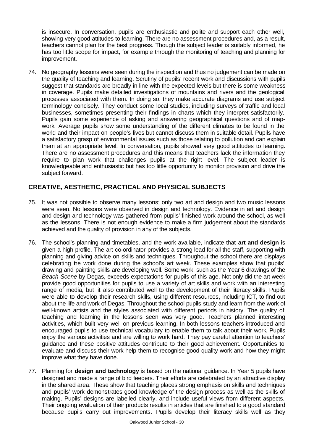is insecure. In conversation, pupils are enthusiastic and polite and support each other well, showing very good attitudes to learning. There are no assessment procedures and, as a result, teachers cannot plan for the best progress. Though the subject leader is suitably informed, he has too little scope for impact, for example through the monitoring of teaching and planning for improvement.

74. No geography lessons were seen during the inspection and thus no judgement can be made on the quality of teaching and learning. Scrutiny of pupils' recent work and discussions with pupils suggest that standards are broadly in line with the expected levels but there is some weakness in coverage. Pupils make detailed investigations of mountains and rivers and the geological processes associated with them. In doing so, they make accurate diagrams and use subject terminology concisely. They conduct some local studies, including surveys of traffic and local businesses, sometimes presenting their findings in charts which they interpret satisfactorily. Pupils gain some experience of asking and answering geographical questions and of mapwork. Average pupils show some understanding of the different climates to be found in the world and their impact on people's lives but cannot discuss them in suitable detail. Pupils have a satisfactory grasp of environmental issues such as those relating to pollution and can explain them at an appropriate level. In conversation, pupils showed very good attitudes to learning. There are no assessment procedures and this means that teachers lack the information they require to plan work that challenges pupils at the right level. The subject leader is knowledgeable and enthusiastic but has too little opportunity to monitor provision and drive the subject forward.

# **CREATIVE, AESTHETIC, PRACTICAL AND PHYSICAL SUBJECTS**

- 75. It was not possible to observe many lessons; only two art and design and two music lessons were seen. No lessons were observed in design and technology. Evidence in art and design and design and technology was gathered from pupils' finished work around the school, as well as the lessons. There is not enough evidence to make a firm judgement about the standards achieved and the quality of provision in any of the subjects.
- 76. The school's planning and timetables, and the work available, indicate that **art and design** is given a high profile. The art co-ordinator provides a strong lead for all the staff, supporting with planning and giving advice on skills and techniques. Throughout the school there are displays celebrating the work done during the school's art week. These examples show that pupils' drawing and painting skills are developing well. Some work, such as the Year 6 drawings of the *Beach Scene* by Degas, exceeds expectations for pupils of this age. Not only did the art week provide good opportunities for pupils to use a variety of art skills and work with an interesting range of media, but it also contributed well to the development of their literacy skills. Pupils were able to develop their research skills, using different resources, including ICT, to find out about the life and work of Degas. Throughout the school pupils study and learn from the work of well-known artists and the styles associated with different periods in history. The quality of teaching and learning in the lessons seen was very good. Teachers planned interesting activities, which built very well on previous learning. In both lessons teachers introduced and encouraged pupils to use technical vocabulary to enable them to talk about their work. Pupils enjoy the various activities and are willing to work hard. They pay careful attention to teachers' guidance and these positive attitudes contribute to their good achievement. Opportunities to evaluate and discuss their work help them to recognise good quality work and how they might improve what they have done.
- 77. Planning for **design and technology** is based on the national guidance. In Year 5 pupils have designed and made a range of bird feeders. Their efforts are celebrated by an attractive display in the shared area. These show that teaching places strong emphasis on skills and techniques and pupils' work demonstrates good knowledge of the design process as well as the skills of making. Pupils' designs are labelled clearly, and include useful views from different aspects. Their ongoing evaluation of their products results in articles that are finished to a good standard because pupils carry out improvements. Pupils develop their literacy skills well as they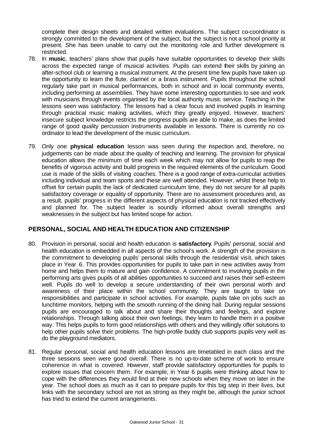complete their design sheets and detailed written evaluations. The subject co-coordinator is strongly committed to the development of the subject, but the subject is not a school priority at present. She has been unable to carry out the monitoring role and further development is restricted.

- 78. In **music**, teachers' plans show that pupils have suitable opportunities to develop their skills across the expected range of musical activities. Pupils can extend their skills by joining an after-school club or learning a musical instrument. At the present time few pupils have taken up the opportunity to learn the flute, clarinet or a brass instrument. Pupils throughout the school regularly take part in musical performances, both in school and in local community events, including performing at assemblies. They have some interesting opportunities to see and work with musicians through events organised by the local authority music service. Teaching in the lessons seen was satisfactory. The lessons had a clear focus and involved pupils in learning through practical music making activities, which they greatly enjoyed. However, teachers' insecure subject knowledge restricts the progress pupils are able to make, as does the limited range of good quality percussion instruments available in lessons. There is currently no coordinator to lead the development of the music curriculum.
- 79. Only one **physical education** lesson was seen during the inspection and, therefore, no judgements can be made about the quality of teaching and learning. The provision for physical education allows the minimum of time each week which may not allow for pupils to reap the benefits of vigorous activity and build progress in the required elements of the curriculum. Good use is made of the skills of visiting coaches. There is a good range of extra-curricular activities including individual and team sports and these are well attended. However, whilst these help to offset for certain pupils the lack of dedicated curriculum time, they do not secure for all pupils satisfactory coverage or equality of opportunity. There are no assessment procedures and, as a result, pupils' progress in the different aspects of physical education is not tracked effectively and planned for. The subject leader is soundly informed about overall strengths and weaknesses in the subject but has limited scope for action.

# **PERSONAL, SOCIAL AND HEALTH EDUCATION AND CITIZENSHIP**

- 80. Provision in personal, social and health education is **satisfactory**. Pupils' personal, social and health education is embedded in all aspects of the school's work. A strength of the provision is the commitment to developing pupils' personal skills through the residential visit, which takes place in Year 6. This provides opportunities for pupils to take part in new activities away from home and helps them to mature and gain confidence. A commitment to involving pupils in the performing arts gives pupils of all abilities opportunities to succeed and raises their self-esteem well. Pupils do well to develop a secure understanding of their own personal worth and awareness of their place within the school community. They are taught to take on responsibilities and participate in school activities. For example, pupils take on jobs such as lunchtime monitors, helping with the smooth running of the dining hall. During regular sessions pupils are encouraged to talk about and share their thoughts and feelings, and explore relationships. Through talking about their own feelings, they learn to handle them in a positive way. This helps pupils to form good relationships with others and they willingly offer solutions to help other pupils solve their problems. The high-profile buddy club supports pupils very well as do the playground mediators.
- 81. Regular personal, social and health education lessons are timetabled in each class and the three sessions seen were good overall. There is no up-to-date scheme of work to ensure coherence in what is covered. However, staff provide satisfactory opportunities for pupils to explore issues that concern them. For example, in Year 6 pupils were thinking about how to cope with the differences they would find at their new schools when they move on later in the year. The school does as much as it can to prepare pupils for this big step in their lives, but links with the secondary school are not as strong as they might be, although the junior school has tried to extend the current arrangements.